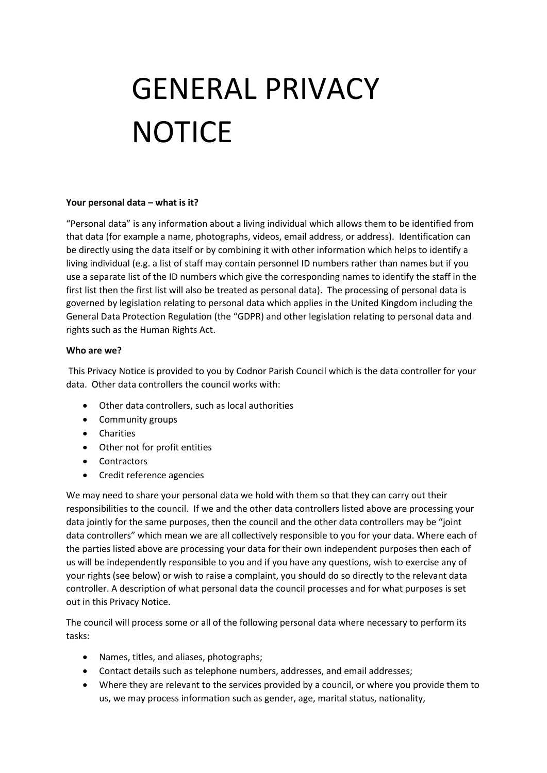# GENERAL PRIVACY **NOTICE**

## **Your personal data – what is it?**

"Personal data" is any information about a living individual which allows them to be identified from that data (for example a name, photographs, videos, email address, or address). Identification can be directly using the data itself or by combining it with other information which helps to identify a living individual (e.g. a list of staff may contain personnel ID numbers rather than names but if you use a separate list of the ID numbers which give the corresponding names to identify the staff in the first list then the first list will also be treated as personal data). The processing of personal data is governed by legislation relating to personal data which applies in the United Kingdom including the General Data Protection Regulation (the "GDPR) and other legislation relating to personal data and rights such as the Human Rights Act.

## **Who are we?**

This Privacy Notice is provided to you by Codnor Parish Council which is the data controller for your data. Other data controllers the council works with:

- Other data controllers, such as local authorities
- Community groups
- **•** Charities
- Other not for profit entities
- Contractors
- Credit reference agencies

We may need to share your personal data we hold with them so that they can carry out their responsibilities to the council. If we and the other data controllers listed above are processing your data jointly for the same purposes, then the council and the other data controllers may be "joint data controllers" which mean we are all collectively responsible to you for your data. Where each of the parties listed above are processing your data for their own independent purposes then each of us will be independently responsible to you and if you have any questions, wish to exercise any of your rights (see below) or wish to raise a complaint, you should do so directly to the relevant data controller. A description of what personal data the council processes and for what purposes is set out in this Privacy Notice.

The council will process some or all of the following personal data where necessary to perform its tasks:

- Names, titles, and aliases, photographs;
- Contact details such as telephone numbers, addresses, and email addresses;
- Where they are relevant to the services provided by a council, or where you provide them to us, we may process information such as gender, age, marital status, nationality,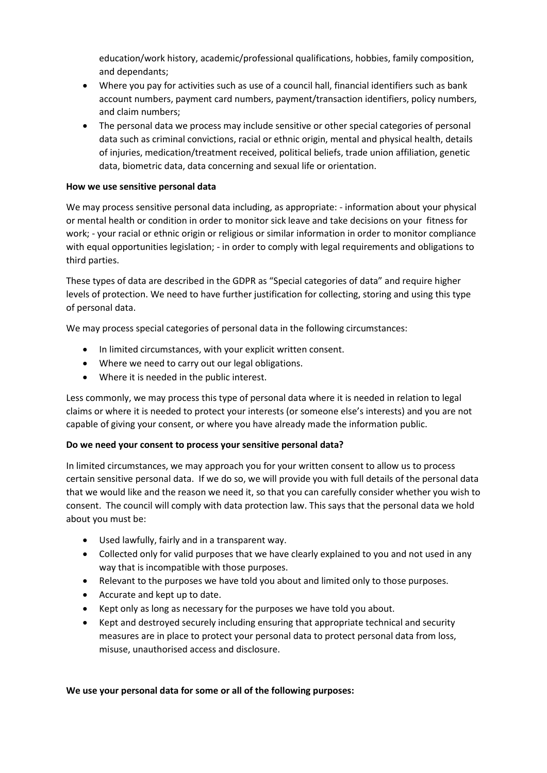education/work history, academic/professional qualifications, hobbies, family composition, and dependants;

- Where you pay for activities such as use of a council hall, financial identifiers such as bank account numbers, payment card numbers, payment/transaction identifiers, policy numbers, and claim numbers;
- The personal data we process may include sensitive or other special categories of personal data such as criminal convictions, racial or ethnic origin, mental and physical health, details of injuries, medication/treatment received, political beliefs, trade union affiliation, genetic data, biometric data, data concerning and sexual life or orientation.

## **How we use sensitive personal data**

We may process sensitive personal data including, as appropriate: - information about your physical or mental health or condition in order to monitor sick leave and take decisions on your fitness for work; - your racial or ethnic origin or religious or similar information in order to monitor compliance with equal opportunities legislation; - in order to comply with legal requirements and obligations to third parties.

These types of data are described in the GDPR as "Special categories of data" and require higher levels of protection. We need to have further justification for collecting, storing and using this type of personal data.

We may process special categories of personal data in the following circumstances:

- In limited circumstances, with your explicit written consent.
- Where we need to carry out our legal obligations.
- Where it is needed in the public interest.

Less commonly, we may process this type of personal data where it is needed in relation to legal claims or where it is needed to protect your interests (or someone else's interests) and you are not capable of giving your consent, or where you have already made the information public.

## **Do we need your consent to process your sensitive personal data?**

In limited circumstances, we may approach you for your written consent to allow us to process certain sensitive personal data. If we do so, we will provide you with full details of the personal data that we would like and the reason we need it, so that you can carefully consider whether you wish to consent. The council will comply with data protection law. This says that the personal data we hold about you must be:

- Used lawfully, fairly and in a transparent way.
- Collected only for valid purposes that we have clearly explained to you and not used in any way that is incompatible with those purposes.
- Relevant to the purposes we have told you about and limited only to those purposes.
- Accurate and kept up to date.
- Kept only as long as necessary for the purposes we have told you about.
- Kept and destroyed securely including ensuring that appropriate technical and security measures are in place to protect your personal data to protect personal data from loss, misuse, unauthorised access and disclosure.

## **We use your personal data for some or all of the following purposes:**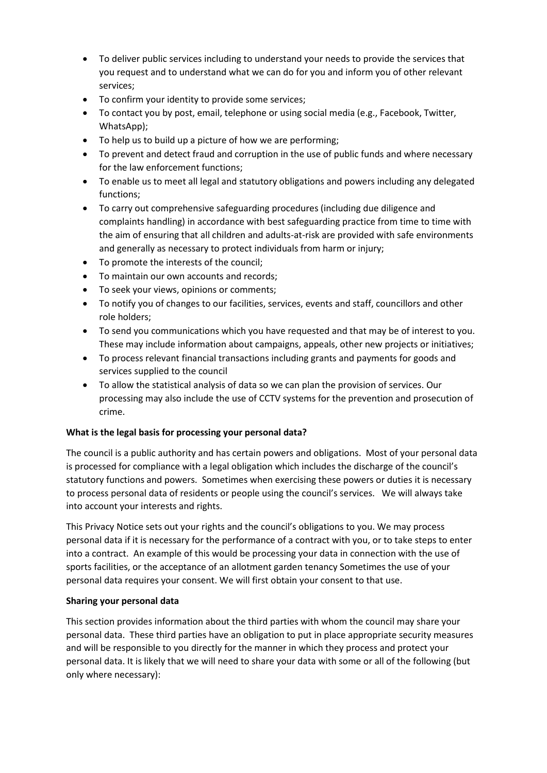- To deliver public services including to understand your needs to provide the services that you request and to understand what we can do for you and inform you of other relevant services;
- To confirm your identity to provide some services;
- To contact you by post, email, telephone or using social media (e.g., Facebook, Twitter, WhatsApp);
- To help us to build up a picture of how we are performing;
- To prevent and detect fraud and corruption in the use of public funds and where necessary for the law enforcement functions;
- To enable us to meet all legal and statutory obligations and powers including any delegated functions;
- To carry out comprehensive safeguarding procedures (including due diligence and complaints handling) in accordance with best safeguarding practice from time to time with the aim of ensuring that all children and adults-at-risk are provided with safe environments and generally as necessary to protect individuals from harm or injury;
- To promote the interests of the council;
- To maintain our own accounts and records;
- To seek your views, opinions or comments;
- To notify you of changes to our facilities, services, events and staff, councillors and other role holders;
- To send you communications which you have requested and that may be of interest to you. These may include information about campaigns, appeals, other new projects or initiatives;
- To process relevant financial transactions including grants and payments for goods and services supplied to the council
- To allow the statistical analysis of data so we can plan the provision of services. Our processing may also include the use of CCTV systems for the prevention and prosecution of crime.

# **What is the legal basis for processing your personal data?**

The council is a public authority and has certain powers and obligations. Most of your personal data is processed for compliance with a legal obligation which includes the discharge of the council's statutory functions and powers. Sometimes when exercising these powers or duties it is necessary to process personal data of residents or people using the council's services. We will always take into account your interests and rights.

This Privacy Notice sets out your rights and the council's obligations to you. We may process personal data if it is necessary for the performance of a contract with you, or to take steps to enter into a contract. An example of this would be processing your data in connection with the use of sports facilities, or the acceptance of an allotment garden tenancy Sometimes the use of your personal data requires your consent. We will first obtain your consent to that use.

# **Sharing your personal data**

This section provides information about the third parties with whom the council may share your personal data. These third parties have an obligation to put in place appropriate security measures and will be responsible to you directly for the manner in which they process and protect your personal data. It is likely that we will need to share your data with some or all of the following (but only where necessary):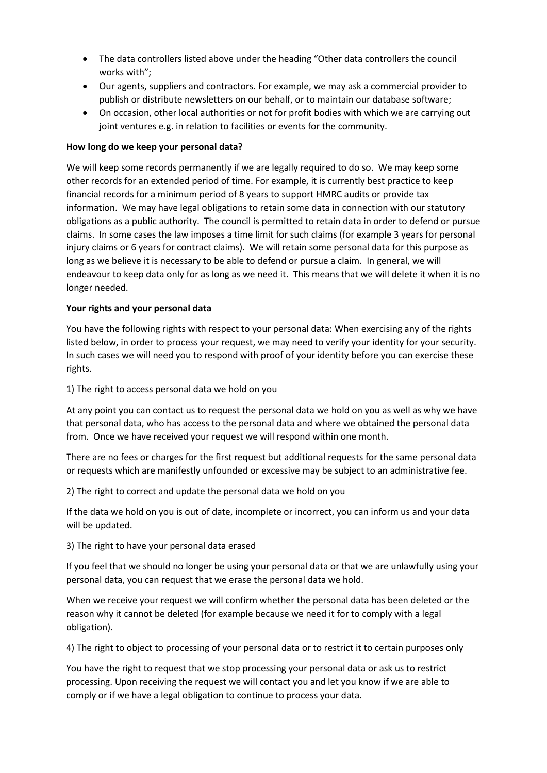- The data controllers listed above under the heading "Other data controllers the council works with";
- Our agents, suppliers and contractors. For example, we may ask a commercial provider to publish or distribute newsletters on our behalf, or to maintain our database software;
- On occasion, other local authorities or not for profit bodies with which we are carrying out joint ventures e.g. in relation to facilities or events for the community.

## **How long do we keep your personal data?**

We will keep some records permanently if we are legally required to do so. We may keep some other records for an extended period of time. For example, it is currently best practice to keep financial records for a minimum period of 8 years to support HMRC audits or provide tax information. We may have legal obligations to retain some data in connection with our statutory obligations as a public authority. The council is permitted to retain data in order to defend or pursue claims. In some cases the law imposes a time limit for such claims (for example 3 years for personal injury claims or 6 years for contract claims). We will retain some personal data for this purpose as long as we believe it is necessary to be able to defend or pursue a claim. In general, we will endeavour to keep data only for as long as we need it. This means that we will delete it when it is no longer needed.

## **Your rights and your personal data**

You have the following rights with respect to your personal data: When exercising any of the rights listed below, in order to process your request, we may need to verify your identity for your security. In such cases we will need you to respond with proof of your identity before you can exercise these rights.

1) The right to access personal data we hold on you

At any point you can contact us to request the personal data we hold on you as well as why we have that personal data, who has access to the personal data and where we obtained the personal data from. Once we have received your request we will respond within one month.

There are no fees or charges for the first request but additional requests for the same personal data or requests which are manifestly unfounded or excessive may be subject to an administrative fee.

2) The right to correct and update the personal data we hold on you

If the data we hold on you is out of date, incomplete or incorrect, you can inform us and your data will be updated.

3) The right to have your personal data erased

If you feel that we should no longer be using your personal data or that we are unlawfully using your personal data, you can request that we erase the personal data we hold.

When we receive your request we will confirm whether the personal data has been deleted or the reason why it cannot be deleted (for example because we need it for to comply with a legal obligation).

4) The right to object to processing of your personal data or to restrict it to certain purposes only

You have the right to request that we stop processing your personal data or ask us to restrict processing. Upon receiving the request we will contact you and let you know if we are able to comply or if we have a legal obligation to continue to process your data.